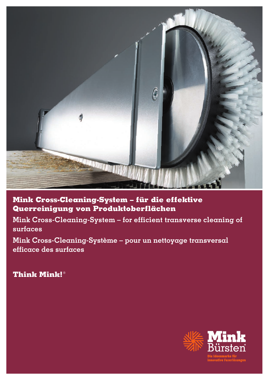

**Mink Cross-Cleaning-System – für die effektive Querreinigung von Produktoberflächen**

**Mink Cross-Cleaning-System – for efficient transverse cleaning of surfaces**

**Mink Cross-Cleaning-Système – pour un nettoyage transversal efficace des surfaces** 

**Think Mink!**®

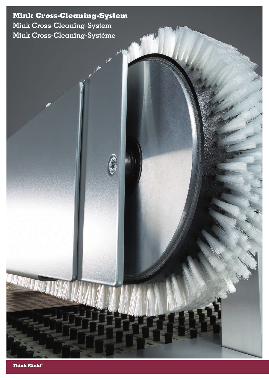**Mink Cross-Cleaning-System Mink Cross-Cleaning-System Mink Cross-Cleaning-Système**

**Think Mink!**®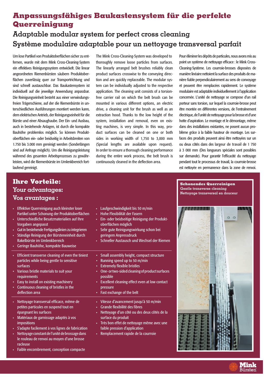# **Anpassungsfähiges Baukastensystem für die perfekte Querreinigung**

# **Adaptable modular system for perfect cross cleaning Système modulaire adaptable pour un nettoyage transversal parfait**

Um lose Partikel von Produktoberflächen sicher zu entfernen, wurde mit dem Mink Cross-Cleaning-System ein effektives Reinigungssystem entwickelt. Die linear angeordneten Riemenbürsten säubern Produktoberflächen zuverlässig quer zur Transportrichtung und sind schnell austauschbar. Das Baukastensystem ist individuell auf die jeweilige Anwendung anpassbar. Die Reinigungseinheit besteht aus einer verwindungsfreien Trägerschiene, auf der die Riemenbürste in unterschiedlichen Ausführungen montiert werden kann, dem elektrischen Antrieb, der Reinigungseinheit für die Bürste und einer Absaughaube. Der Ein- und Ausbau, auch in bestehende Anlagen, ist durch die kompakte Bauhöhe problemlos möglich. So können Produktoberflächen ein- oder beidseitig in Arbeitsbreiten von 1.750 bis 3.000 mm gereinigt werden (Sonderlängen sind auf Anfrage möglich). Um die Reinigungsleistung während des gesamten Arbeitsprozesses zu gewährleisten, wird die Riemenbürste im Umlenkbereich fortlaufend gereinigt.

The Mink Cross-Cleaning-System was developed to thoroughly remove loose particles from surfaces. The linearly arranged belt brushes reliably clean product surfaces crosswise to the conveying direction and are quickly replaceable. The modular system can be individually adjusted to the respective application. The cleaning unit consists of a torsionfree carrier rail on which the belt brush can be mounted in various different options, an electric drive, a cleaning unit for the brush as well as an extraction hood. Thanks to the low height of the system, installation and removal, even on existing machines, is very simple. In this way, product surfaces can be cleaned on one or both sides in working width of 1,750 to 3,000 mm (Special lengths are available upon request). In order to ensure a thorough cleaning performance during the entire work process, the belt brush is continuously cleaned in the deflection area.

Pour éliminer les dépôts de particules, nous avons mis au point un système de nettoyage efficace : le Mink Cross-Cleaning-Système. Les courroie-brosses disposées de manière linéaire nettoient la surface des produits de manière fiable perpendiculairement au sens de convoyage et peuvent être remplacées rapidement. Le système modulaire est adaptable individuellement à l'application concernée. L'unité de nettoyage se compose d'un rail porteur sans torsion, sur lequel la courroie-brosse peut être montée en différentes versions, de l'entraînement électrique, de l'unité de nettoyage pour la brosse et d'une hotte d'aspiration. Le montage et le démontage, même dans des installations existantes, ne posent aucun problème grâce à la faible hauteur de montage. Les surfaces des produits peuvent ainsi être nettoyées sur un ou deux côtés dans des largeur de travail de 1 750 à 3 000 mm (Des longueurs spéciales sont possibles sur demande). Pour garantir l'efficacité du nettoyage pendant tout le processus de travail, la courroie-brosse est nettoyée en permanence dans la zone de renvoi.

## **Ihre Vorteile: Your advantages: Vos avantages :**

- **•** Effektive Querreinigung auch kleinster loser Partikel unter Schonung der Produktoberflächen
- **•** Unterschiedliche Besatzmaterialien auf Ihre Vorgaben angepasst
- **•** Gut in bestehende Fertigungslinien zu integrieren
- **•** Ständige Reinigung der Bürsteneinheit durch Rakelbürste im Umlenkbereich
- **•** Geringe Bauhöhe, kompakte Bauweise
- **•** Efficient transverse cleaning of even the tiniest particles while being gentle to sensitive surfaces
- Various bristle materials to suit your requirements
- Easy to install on existing machinery
- Continuous cleaning of bristles in the deflection area
- **•** Nettoyage transversal efficace, même de petites particules en suspend tout en épargnant les surfaces
- **•** Matériaux de garnissage adaptés à vos impositions
- **•** S'adapte facilement à vos lignes de fabrication
- **•** Nettoyage constant de l'unité de brossage dans le rouleau de renvoi au moyen d'une brosse racleuse
- **•** Faible encombrement, conception compacte
- **•** Laufgeschwindigkeit bis 50 m/min **•** Hohe Flexibilität der Fasern **•** Ein- oder beidseitige Reinigung der Produktoberflächen möglich
- **•** Sehr gute Reinigungswirkung schon bei geringem Anpressdruck
- **•** Schneller Austausch und Wechsel der Riemen
- Small assembly height, compact structure
- Running speed up to 50 m/min
- **Extremely flexible bristles**
- One- or two-sided cleaning of product surfaces possible
- Excellent cleaning effect even at low contact pressure
- Fast exchange of the belt
- **•** Vitesse d'avancement jusqu'à 50 m/min
- **•** Grande flexibilité des fibres
- **•** Nettoyage d'un côté ou des deux côtés de la surface du produit
- **•** Très bon effet de nettoyage même avec une faible pression d'application
- **•** Remplacement rapide de la courroie





Mink Bürsten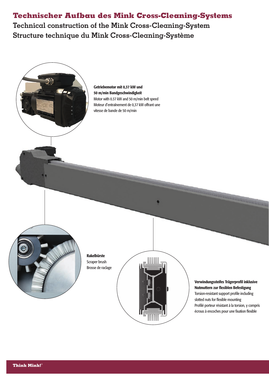# **Technischer Aufbau des Mink Cross-Cleaning-Systems**

**Technical construction of the Mink Cross-Cleaning-System Structure technique du Mink Cross-Cleaning-Système**

> Getriebemotor mit 0,37 kW und 50 m/min Bandgeschwindigkeit Motor with 0.37 kW and 50 m/min belt speed Moteur d'entraînement de 0,37 kW offrant une vitesse de bande de 50 m/min



Rakelbürste Scraper brush Brosse de raclage



### Verwindungssteifes Trägerprofil inklusive Nutmuttern zur flexiblen Befestigung Torsion-resistant support profile including

**THURSEY** 

slotted nuts for flexible mounting Profilé porteur résistant à la torsion, y compris écrous à encoches pour une fixation flexible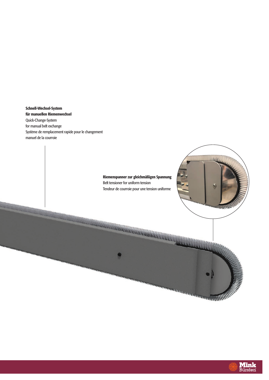Schnell-Wechsel-System für manuellen Riemenwechsel Quick-Change-System for manual belt exchange Système de remplacement rapide pour le changement manuel de la courroie

<u> Albanya ya Tanzania ya Tanzania ya Tanzania ya Tanzania ya Tanzania ya Tanzania ya Tanzania ya Tanzania ya T</u>



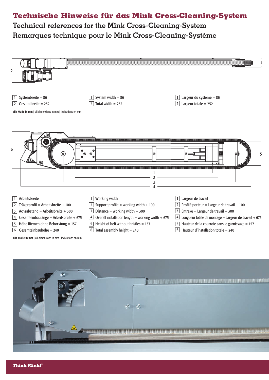# **Technische Hinweise für das Mink Cross-Cleaning-System**

**Technical references for the Mink Cross-Cleaning-System Remarques technique pour le Mink Cross-Cleaning-Système**



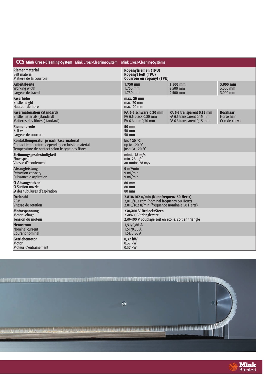| <b>CCS Mink Cross-Cleaning-System</b> Mink Cross-Cleaning-System Mink Cross-Cleaning-Système |                                                     |                            |                 |
|----------------------------------------------------------------------------------------------|-----------------------------------------------------|----------------------------|-----------------|
| Riemenmaterial                                                                               | <b>Ropanylriemen (TPU)</b>                          |                            |                 |
| Belt material                                                                                | <b>Ropanyl belt (TPU)</b>                           |                            |                 |
| Matière de la courroie                                                                       | <b>Courroie en ropanyl (TPU)</b>                    |                            |                 |
| Arbeitsbreite                                                                                | 1.750 mm                                            | 2.500 mm                   | 3.000 mm        |
| <b>Working width</b>                                                                         | 1.750 mm                                            | 2,500 mm                   | 3,000 mm        |
| Largeur de travail                                                                           | 1.750 mm                                            | 2.500 mm                   | 3.000 mm        |
| <b>Faserhöhe</b>                                                                             | max. 20 mm                                          |                            |                 |
| <b>Bristle height</b>                                                                        | max. 20 mm                                          |                            |                 |
| Hauteur de fibre                                                                             | max. 20 mm                                          |                            |                 |
| <b>Fasermaterialien (Standard)</b>                                                           | PA 6.6 schwarz 0,30 mm                              | PA 6.6 transparent 0,15 mm | <b>Rosshaar</b> |
| Bristle materials (standard)                                                                 | PA 6.6 black 0.30 mm                                | PA 6.6 transparent 0.15 mm | Horse hair      |
| Matières des fibres (standard)                                                               | PA 6.6 noir 0,30 mm                                 | PA 6.6 transparent 0,15 mm | Crin de cheval  |
| Riemenbreite                                                                                 | <b>50 mm</b>                                        |                            |                 |
| <b>Belt width</b>                                                                            | 50 mm                                               |                            |                 |
| Largeur de courroie                                                                          | 50 mm                                               |                            |                 |
| Kontakttemperatur je nach Fasermaterial                                                      | bis 120 $\degree$ C                                 |                            |                 |
| Contact temperature depending on bristle material                                            | up to 120 $\degree$ C                               |                            |                 |
| Température de contact selon le type des fibres                                              | jusqu'à 120 °C                                      |                            |                 |
| Strömungsgeschwindigkeit                                                                     | mind. 28 $m/s$                                      |                            |                 |
| <b>Flow speed</b>                                                                            | min. $28 \text{ m/s}$                               |                            |                 |
| Vitesse d'écoulement                                                                         | au moins $28 \text{ m/s}$                           |                            |                 |
| <b>Absaugleistung</b>                                                                        | 9 m <sup>3</sup> /min                               |                            |                 |
| <b>Extraction capacity</b>                                                                   | $9 \text{ m}^3/\text{min}$                          |                            |                 |
| Puissance d'aspiration                                                                       | $9 \text{ m}^3/\text{min}$                          |                            |                 |
| <b>Ø Absaugstutzen</b>                                                                       | <b>80 mm</b>                                        |                            |                 |
| Ø Suction nozzle                                                                             | 80 mm                                               |                            |                 |
| Ø des tubulures d'aspiration                                                                 | 80 mm                                               |                            |                 |
| <b>Drehzahl</b>                                                                              | 2.810/102 u/min (Nennfrequenz 50 Hertz)             |                            |                 |
| <b>RPM</b>                                                                                   | 2,810/102 rpm (nominal frequency 50 Hertz)          |                            |                 |
| Vitesse de rotation                                                                          | 2.810/102 tr/min (fréquence nominale 50 Hertz)      |                            |                 |
| Motorspannung                                                                                | 230/400 V Dreieck/Stern                             |                            |                 |
| Motor voltage                                                                                | 230/400 V triangle/star                             |                            |                 |
| Tension du moteur                                                                            | 230/400 V couplage soit en étoile, soit en triangle |                            |                 |
| <b>Nennstrom</b>                                                                             | $1,51/0,86$ A                                       |                            |                 |
| Nominal current                                                                              | $1.51/0.86$ A                                       |                            |                 |
| Courant nominal                                                                              | $1,51/0,86$ A                                       |                            |                 |
| <b>Getriebemotor</b>                                                                         | 0,37 kW                                             |                            |                 |
| Motor                                                                                        | $0.37$ kW                                           |                            |                 |
| Moteur d'entraînement                                                                        | 0,37 kW                                             |                            |                 |